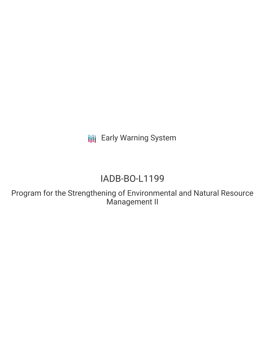**III** Early Warning System

# IADB-BO-L1199

Program for the Strengthening of Environmental and Natural Resource Management II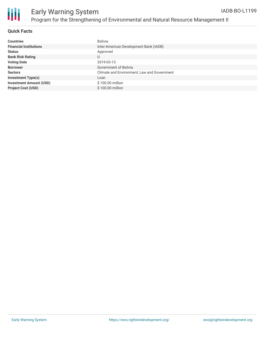

#### **Quick Facts**

| <b>Countries</b>               | Bolivia                                     |
|--------------------------------|---------------------------------------------|
| <b>Financial Institutions</b>  | Inter-American Development Bank (IADB)      |
| <b>Status</b>                  | Approved                                    |
| <b>Bank Risk Rating</b>        | U                                           |
| <b>Voting Date</b>             | 2019-03-13                                  |
| <b>Borrower</b>                | Government of Bolivia                       |
| <b>Sectors</b>                 | Climate and Environment, Law and Government |
| <b>Investment Type(s)</b>      | Loan                                        |
| <b>Investment Amount (USD)</b> | \$100.00 million                            |
| <b>Project Cost (USD)</b>      | \$100.00 million                            |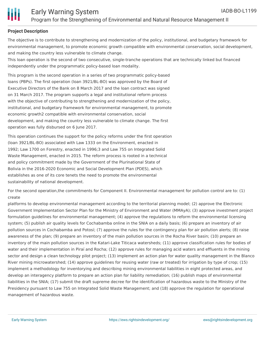

### **Project Description**

The objective is to contribute to strengthening and modernization of the policy, institutional, and budgetary framework for environmental management, to promote economic growth compatible with environmental conservation, social development, and making the country less vulnerable to climate change.

This loan operation is the second of two consecutive, single-tranche operations that are technically linked but financed independently under the programmatic policy-based loan modality.

This program is the second operation in a series of two programmatic policy-based loans (PBPs). The first operation (loan 3921/BL-BO) was approved by the Board of Executive Directors of the Bank on 8 March 2017 and the loan contract was signed on 31 March 2017. The program supports a legal and institutional reform process with the objective of contributing to strengthening and modernization of the policy, institutional, and budgetary framework for environmental management, to promote economic growth2 compatible with environmental conservation, social development, and making the country less vulnerable to climate change. The first operation was fully disbursed on 6 June 2017.

This operation continues the support for the policy reforms under the first operation (loan 3921/BL-BO) associated with Law 1333 on the Environment, enacted in 1992; Law 1700 on Forestry, enacted in 1996;3 and Law 755 on Integrated Solid Waste Management, enacted in 2015. The reform process is rooted in a technical and policy commitment made by the Government of the Plurinational State of Bolivia in the 2016-2020 Economic and Social Development Plan (PDES), which establishes as one of its core tenets the need to promote the environmental sustainability of national development.

For the second operation,the commitments for Component II. Environmental management for pollution control are to: (1) create

platforms to develop environmental management according to the territorial planning model; (2) approve the Electronic Government Implementation Sector Plan for the Ministry of Environment and Water (MMAyA); (3) approve investment project formulation guidelines for environmental management; (4) approve the regulations to reform the environmental licensing system; (5) publish air quality levels for Cochabamba online in the SNIA on a daily basis; (6) prepare an inventory of air pollution sources in Cochabamba and Potosí; (7) approve the rules for the contingency plan for air pollution alerts; (8) raise awareness of the plan; (9) prepare an inventory of the main pollution sources in the Rocha River basin; (10) prepare an inventory of the main pollution sources in the Katari-Lake Titicaca watersheds; (11) approve classification rules for bodies of water and their implementation in Piraí and Rocha; (12) approve rules for managing acid waters and effluents in the mining sector and design a clean technology pilot project; (13) implement an action plan for water quality management in the Blanco River mining microwatershed; (14) approve guidelines for reusing water (raw or treated) for irrigation by type of crop; (15) implement a methodology for inventorying and describing mining environmental liabilities in eight protected areas, and develop an interagency platform to prepare an action plan for liability remediation; (16) publish maps of environmental liabilities in the SNIA; (17) submit the draft supreme decree for the identification of hazardous waste to the Ministry of the Presidency pursuant to Law 755 on Integrated Solid Waste Management; and (18) approve the regulation for operational management of hazardous waste.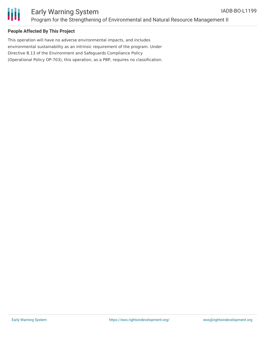

# Early Warning System Program for the Strengthening of Environmental and Natural Resource Management II

### **People Affected By This Project**

This operation will have no adverse environmental impacts, and includes environmental sustainability as an intrinsic requirement of the program. Under Directive B.13 of the Environment and Safeguards Compliance Policy (Operational Policy OP-703), this operation, as a PBP, requires no classification.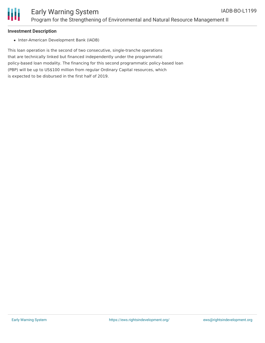

### **Investment Description**

• Inter-American Development Bank (IADB)

This loan operation is the second of two consecutive, single-tranche operations that are technically linked but financed independently under the programmatic policy-based loan modality. The financing for this second programmatic policy-based loan (PBP) will be up to US\$100 million from regular Ordinary Capital resources, which is expected to be disbursed in the first half of 2019.